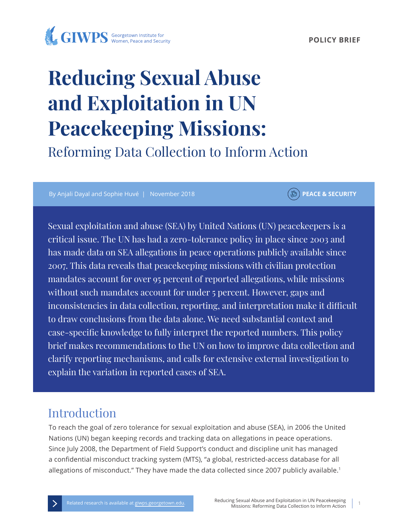#### **POLICY BRIEF**



# **Reducing Sexual Abuse and Exploitation in UN Peacekeeping Missions:**

Reforming Data Collection to Inform Action

By Anjali Dayal and Sophie Huvé | November 2018 **PEACE & SECURITY** 

Sexual exploitation and abuse (SEA) by United Nations (UN) peacekeepers is a critical issue. The UN has had a zero-tolerance policy in place since 2003 and has made data on SEA allegations in peace operations publicly available since 2007. This data reveals that peacekeeping missions with civilian protection mandates account for over 95 percent of reported allegations, while missions without such mandates account for under 5 percent. However, gaps and inconsistencies in data collection, reporting, and interpretation make it difficult to draw conclusions from the data alone. We need substantial context and case-specific knowledge to fully interpret the reported numbers. This policy brief makes recommendations to the UN on how to improve data collection and clarify reporting mechanisms, and calls for extensive external investigation to explain the variation in reported cases of SEA.

# Introduction

To reach the goal of zero tolerance for sexual exploitation and abuse (SEA), in 2006 the United Nations (UN) began keeping records and tracking data on allegations in peace operations. Since July 2008, the Department of Field Support's conduct and discipline unit has managed a confidential misconduct tracking system (MTS), "a global, restricted-access database for all allegations of misconduct." They have made the data collected since 2007 publicly available.<sup>1</sup>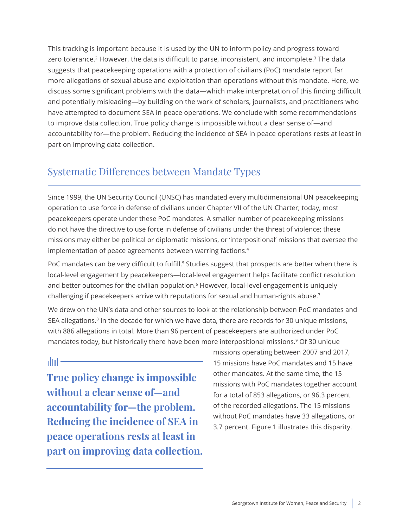This tracking is important because it is used by the UN to inform policy and progress toward zero tolerance.<sup>2</sup> However, the data is difficult to parse, inconsistent, and incomplete.<sup>3</sup> The data suggests that peacekeeping operations with a protection of civilians (PoC) mandate report far more allegations of sexual abuse and exploitation than operations without this mandate. Here, we discuss some significant problems with the data—which make interpretation of this finding difficult and potentially misleading—by building on the work of scholars, journalists, and practitioners who have attempted to document SEA in peace operations. We conclude with some recommendations to improve data collection. True policy change is impossible without a clear sense of—and accountability for—the problem. Reducing the incidence of SEA in peace operations rests at least in part on improving data collection.

## Systematic Differences between Mandate Types

Since 1999, the UN Security Council (UNSC) has mandated every multidimensional UN peacekeeping operation to use force in defense of civilians under Chapter VII of the UN Charter; today, most peacekeepers operate under these PoC mandates. A smaller number of peacekeeping missions do not have the directive to use force in defense of civilians under the threat of violence; these missions may either be political or diplomatic missions, or 'interpositional' missions that oversee the implementation of peace agreements between warring factions.<sup>4</sup>

PoC mandates can be very difficult to fulfill.<sup>5</sup> Studies suggest that prospects are better when there is local-level engagement by peacekeepers—local-level engagement helps facilitate conflict resolution and better outcomes for the civilian population.<sup>6</sup> However, local-level engagement is uniquely challenging if peacekeepers arrive with reputations for sexual and human-rights abuse.<sup>7</sup>

We drew on the UN's data and other sources to look at the relationship between PoC mandates and SEA allegations.<sup>8</sup> In the decade for which we have data, there are records for 30 unique missions, with 886 allegations in total. More than 96 percent of peacekeepers are authorized under PoC mandates today, but historically there have been more interpositional missions.<sup>9</sup> Of 30 unique

altıl -

**True policy change is impossible without a clear sense of—and accountability for—the problem. Reducing the incidence of SEA in peace operations rests at least in part on improving data collection.** 

missions operating between 2007 and 2017, 15 missions have PoC mandates and 15 have other mandates. At the same time, the 15 missions with PoC mandates together account for a total of 853 allegations, or 96.3 percent of the recorded allegations. The 15 missions without PoC mandates have 33 allegations, or 3.7 percent. Figure 1 illustrates this disparity.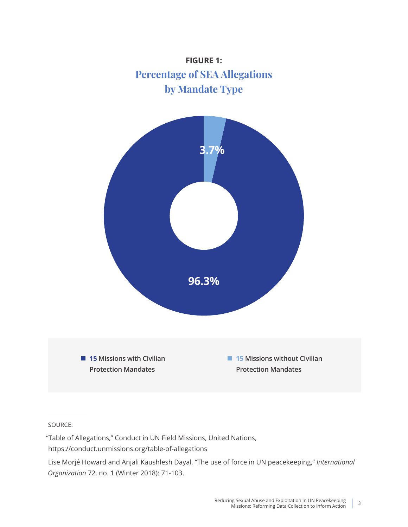

#### SOURCE:

"Table of Allegations," Conduct in UN Field Missions, United Nations, https://conduct.unmissions.org/table-of-allegations

Lise Morjé Howard and Anjali Kaushlesh Dayal, "The use of force in UN peacekeeping," *International Organization* 72, no. 1 (Winter 2018): 71-103.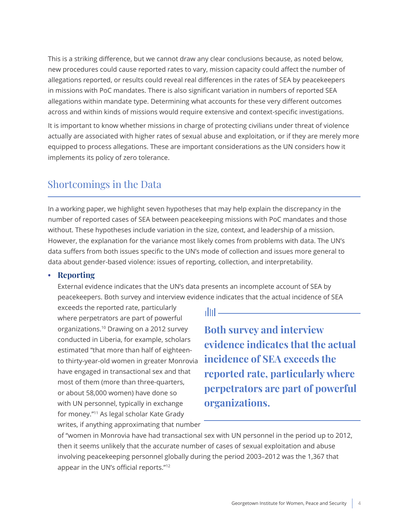This is a striking difference, but we cannot draw any clear conclusions because, as noted below, new procedures could cause reported rates to vary, mission capacity could affect the number of allegations reported, or results could reveal real differences in the rates of SEA by peacekeepers in missions with PoC mandates. There is also significant variation in numbers of reported SEA allegations within mandate type. Determining what accounts for these very different outcomes across and within kinds of missions would require extensive and context-specific investigations.

It is important to know whether missions in charge of protecting civilians under threat of violence actually are associated with higher rates of sexual abuse and exploitation, or if they are merely more equipped to process allegations. These are important considerations as the UN considers how it implements its policy of zero tolerance.

## Shortcomings in the Data

In a working paper, we highlight seven hypotheses that may help explain the discrepancy in the number of reported cases of SEA between peacekeeping missions with PoC mandates and those without. These hypotheses include variation in the size, context, and leadership of a mission. However, the explanation for the variance most likely comes from problems with data. The UN's data suffers from both issues specific to the UN's mode of collection and issues more general to data about gender-based violence: issues of reporting, collection, and interpretability.

#### **• Reporting**

External evidence indicates that the UN's data presents an incomplete account of SEA by peacekeepers. Both survey and interview evidence indicates that the actual incidence of SEA

exceeds the reported rate, particularly where perpetrators are part of powerful organizations.10 Drawing on a 2012 survey conducted in Liberia, for example, scholars estimated "that more than half of eighteento thirty-year-old women in greater Monrovia have engaged in transactional sex and that most of them (more than three-quarters, or about 58,000 women) have done so with UN personnel, typically in exchange for money."11 As legal scholar Kate Grady writes, if anything approximating that number

dtil –

**Both survey and interview evidence indicates that the actual incidence of SEA exceeds the reported rate, particularly where perpetrators are part of powerful organizations.**

of "women in Monrovia have had transactional sex with UN personnel in the period up to 2012, then it seems unlikely that the accurate number of cases of sexual exploitation and abuse involving peacekeeping personnel globally during the period 2003–2012 was the 1,367 that appear in the UN's official reports."<sup>12</sup>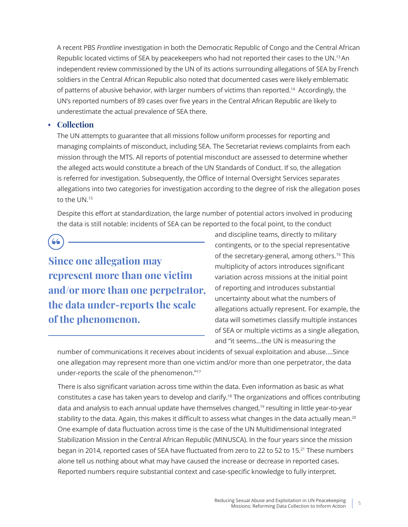A recent PBS *Frontline* investigation in both the Democratic Republic of Congo and the Central African Republic located victims of SEA by peacekeepers who had not reported their cases to the UN.<sup>13</sup>An independent review commissioned by the UN of its actions surrounding allegations of SEA by French soldiers in the Central African Republic also noted that documented cases were likely emblematic of patterns of abusive behavior, with larger numbers of victims than reported.14 Accordingly, the UN's reported numbers of 89 cases over five years in the Central African Republic are likely to underestimate the actual prevalence of SEA there.

#### **• Collection**

The UN attempts to guarantee that all missions follow uniform processes for reporting and managing complaints of misconduct, including SEA. The Secretariat reviews complaints from each mission through the MTS. All reports of potential misconduct are assessed to determine whether the alleged acts would constitute a breach of the UN Standards of Conduct. If so, the allegation is referred for investigation. Subsequently, the Office of Internal Oversight Services separates allegations into two categories for investigation according to the degree of risk the allegation poses to the UN.15

Despite this effort at standardization, the large number of potential actors involved in producing the data is still notable: incidents of SEA can be reported to the focal point, to the conduct

66 **Since one allegation may represent more than one victim and/or more than one perpetrator, the data under-reports the scale of the phenomenon.**

and discipline teams, directly to military contingents, or to the special representative of the secretary-general, among others.<sup>16</sup> This multiplicity of actors introduces significant variation across missions at the initial point of reporting and introduces substantial uncertainty about what the numbers of allegations actually represent. For example, the data will sometimes classify multiple instances of SEA or multiple victims as a single allegation, and "it seems…the UN is measuring the

number of communications it receives about incidents of sexual exploitation and abuse.…Since one allegation may represent more than one victim and/or more than one perpetrator, the data under-reports the scale of the phenomenon."<sup>17</sup>

 There is also significant variation across time within the data. Even information as basic as what constitutes a case has taken years to develop and clarify.18 The organizations and offices contributing data and analysis to each annual update have themselves changed,<sup>19</sup> resulting in little year-to-year stability to the data. Again, this makes it difficult to assess what changes in the data actually mean.<sup>20</sup> One example of data fluctuation across time is the case of the UN Multidimensional Integrated Stabilization Mission in the Central African Republic (MINUSCA). In the four years since the mission began in 2014, reported cases of SEA have fluctuated from zero to 22 to 52 to 15.21 These numbers alone tell us nothing about what may have caused the increase or decrease in reported cases. Reported numbers require substantial context and case-specific knowledge to fully interpret.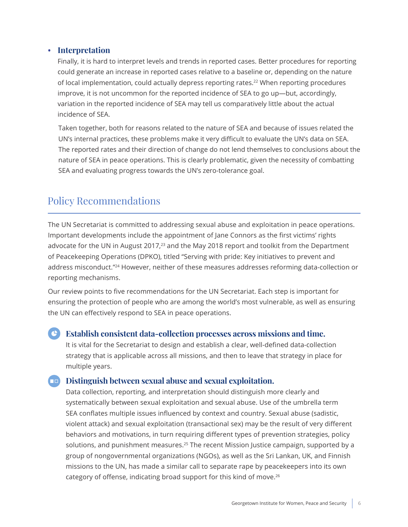#### **• Interpretation**

Finally, it is hard to interpret levels and trends in reported cases. Better procedures for reporting could generate an increase in reported cases relative to a baseline or, depending on the nature of local implementation, could actually depress reporting rates.22 When reporting procedures improve, it is not uncommon for the reported incidence of SEA to go up—but, accordingly, variation in the reported incidence of SEA may tell us comparatively little about the actual incidence of SEA.

 Taken together, both for reasons related to the nature of SEA and because of issues related the UN's internal practices, these problems make it very difficult to evaluate the UN's data on SEA. The reported rates and their direction of change do not lend themselves to conclusions about the nature of SEA in peace operations. This is clearly problematic, given the necessity of combatting SEA and evaluating progress towards the UN's zero-tolerance goal.

## Policy Recommendations

The UN Secretariat is committed to addressing sexual abuse and exploitation in peace operations. Important developments include the appointment of Jane Connors as the first victims' rights advocate for the UN in August 2017,<sup>23</sup> and the May 2018 report and toolkit from the Department of Peacekeeping Operations (DPKO), titled "Serving with pride: Key initiatives to prevent and address misconduct."24 However, neither of these measures addresses reforming data-collection or reporting mechanisms.

Our review points to five recommendations for the UN Secretariat. Each step is important for ensuring the protection of people who are among the world's most vulnerable, as well as ensuring the UN can effectively respond to SEA in peace operations.

#### **Establish consistent data-collection processes across missions and time.**

It is vital for the Secretariat to design and establish a clear, well-defined data-collection strategy that is applicable across all missions, and then to leave that strategy in place for multiple years.

#### **Example 3** Distinguish between sexual abuse and sexual exploitation.

Data collection, reporting, and interpretation should distinguish more clearly and systematically between sexual exploitation and sexual abuse. Use of the umbrella term SEA conflates multiple issues influenced by context and country. Sexual abuse (sadistic, violent attack) and sexual exploitation (transactional sex) may be the result of very different behaviors and motivations, in turn requiring different types of prevention strategies, policy solutions, and punishment measures.<sup>25</sup> The recent Mission Justice campaign, supported by a group of nongovernmental organizations (NGOs), as well as the Sri Lankan, UK, and Finnish missions to the UN, has made a similar call to separate rape by peacekeepers into its own category of offense, indicating broad support for this kind of move.<sup>26</sup>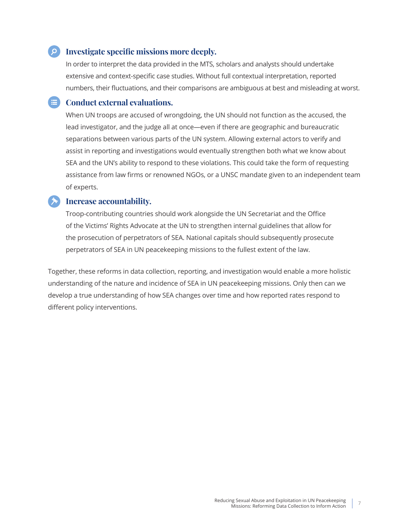#### $\bullet$  **Investigate specific missions more deeply.**

In order to interpret the data provided in the MTS, scholars and analysts should undertake extensive and context-specific case studies. Without full contextual interpretation, reported numbers, their fluctuations, and their comparisons are ambiguous at best and misleading at worst.

#### **E** Conduct external evaluations.

When UN troops are accused of wrongdoing, the UN should not function as the accused, the lead investigator, and the judge all at once—even if there are geographic and bureaucratic separations between various parts of the UN system. Allowing external actors to verify and assist in reporting and investigations would eventually strengthen both what we know about SEA and the UN's ability to respond to these violations. This could take the form of requesting assistance from law firms or renowned NGOs, or a UNSC mandate given to an independent team of experts.

#### **Increase accountability.**

Troop-contributing countries should work alongside the UN Secretariat and the Office of the Victims' Rights Advocate at the UN to strengthen internal guidelines that allow for the prosecution of perpetrators of SEA. National capitals should subsequently prosecute perpetrators of SEA in UN peacekeeping missions to the fullest extent of the law.

Together, these reforms in data collection, reporting, and investigation would enable a more holistic understanding of the nature and incidence of SEA in UN peacekeeping missions. Only then can we develop a true understanding of how SEA changes over time and how reported rates respond to different policy interventions.